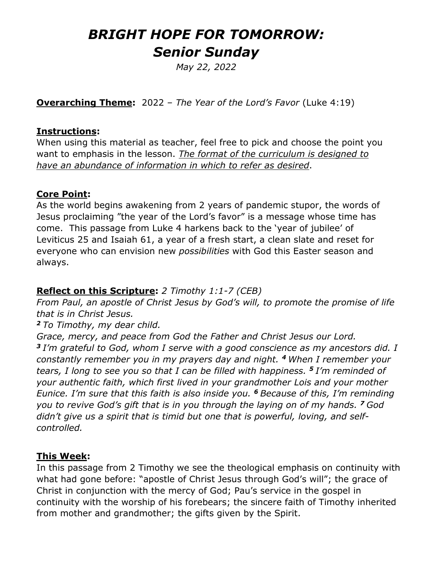# *BRIGHT HOPE FOR TOMORROW: Senior Sunday*

*May 22, 2022*

**Overarching Theme:** 2022 – *The Year of the Lord's Favor* (Luke 4:19)

#### **Instructions:**

When using this material as teacher, feel free to pick and choose the point you want to emphasis in the lesson. *The format of the curriculum is designed to have an abundance of information in which to refer as desired*.

#### **Core Point:**

As the world begins awakening from 2 years of pandemic stupor, the words of Jesus proclaiming "the year of the Lord's favor" is a message whose time has come. This passage from Luke 4 harkens back to the 'year of jubilee' of Leviticus 25 and Isaiah 61, a year of a fresh start, a clean slate and reset for everyone who can envision new *possibilities* with God this Easter season and always.

### **Reflect on this Scripture:** *2 Timothy 1:1-7 (CEB)*

*From Paul, an apostle of Christ Jesus by God's will, to promote the promise of life that is in Christ Jesus.*

#### *<sup>2</sup> To Timothy, my dear child.*

*Grace, mercy, and peace from God the Father and Christ Jesus our Lord. <sup>3</sup> I'm grateful to God, whom I serve with a good conscience as my ancestors did. I constantly remember you in my prayers day and night. <sup>4</sup> When I remember your tears, I long to see you so that I can be filled with happiness. <sup>5</sup> I'm reminded of your authentic faith, which first lived in your grandmother Lois and your mother Eunice. I'm sure that this faith is also inside you. <sup>6</sup> Because of this, I'm reminding you to revive God's gift that is in you through the laying on of my hands. <sup>7</sup> God didn't give us a spirit that is timid but one that is powerful, loving, and selfcontrolled.*

#### **This Week:**

In this passage from 2 Timothy we see the theological emphasis on continuity with what had gone before: "apostle of Christ Jesus through God's will"; the grace of Christ in conjunction with the mercy of God; Pau's service in the gospel in continuity with the worship of his forebears; the sincere faith of Timothy inherited from mother and grandmother; the gifts given by the Spirit.